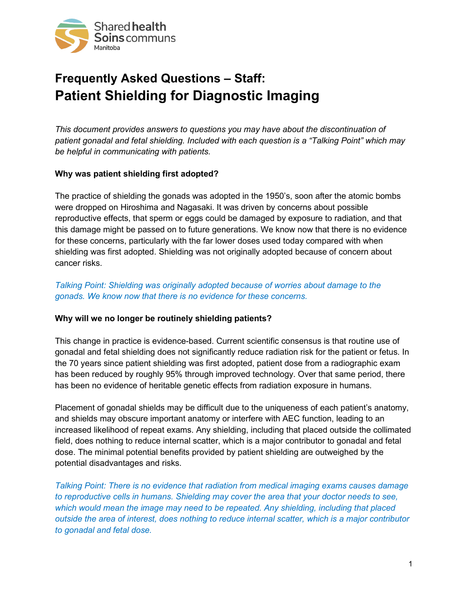

# **Frequently Asked Questions – Staff: Patient Shielding for Diagnostic Imaging**

*This document provides answers to questions you may have about the discontinuation of patient gonadal and fetal shielding. Included with each question is a "Talking Point" which may be helpful in communicating with patients.*

## **Why was patient shielding first adopted?**

The practice of shielding the gonads was adopted in the 1950's, soon after the atomic bombs were dropped on Hiroshima and Nagasaki. It was driven by concerns about possible reproductive effects, that sperm or eggs could be damaged by exposure to radiation, and that this damage might be passed on to future generations. We know now that there is no evidence for these concerns, particularly with the far lower doses used today compared with when shielding was first adopted. Shielding was not originally adopted because of concern about cancer risks.

*Talking Point: Shielding was originally adopted because of worries about damage to the gonads. We know now that there is no evidence for these concerns.*

# **Why will we no longer be routinely shielding patients?**

This change in practice is evidence-based. Current scientific consensus is that routine use of gonadal and fetal shielding does not significantly reduce radiation risk for the patient or fetus. In the 70 years since patient shielding was first adopted, patient dose from a radiographic exam has been reduced by roughly 95% through improved technology. Over that same period, there has been no evidence of heritable genetic effects from radiation exposure in humans.

Placement of gonadal shields may be difficult due to the uniqueness of each patient's anatomy, and shields may obscure important anatomy or interfere with AEC function, leading to an increased likelihood of repeat exams. Any shielding, including that placed outside the collimated field, does nothing to reduce internal scatter, which is a major contributor to gonadal and fetal dose. The minimal potential benefits provided by patient shielding are outweighed by the potential disadvantages and risks.

*Talking Point: There is no evidence that radiation from medical imaging exams causes damage to reproductive cells in humans. Shielding may cover the area that your doctor needs to see, which would mean the image may need to be repeated. Any shielding, including that placed outside the area of interest, does nothing to reduce internal scatter, which is a major contributor to gonadal and fetal dose.*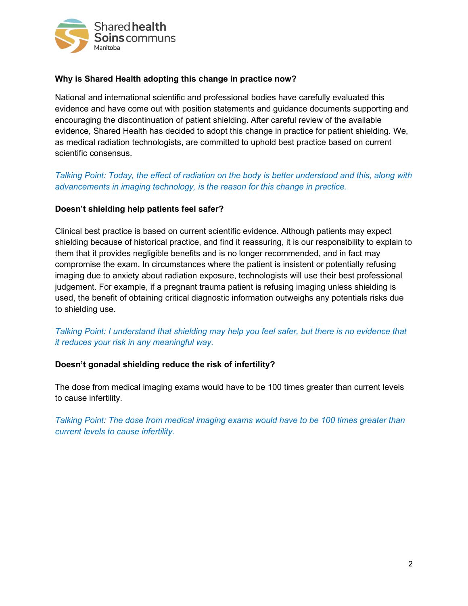

## **Why is Shared Health adopting this change in practice now?**

National and international scientific and professional bodies have carefully evaluated this evidence and have come out with position statements and guidance documents supporting and encouraging the discontinuation of patient shielding. After careful review of the available evidence, Shared Health has decided to adopt this change in practice for patient shielding. We, as medical radiation technologists, are committed to uphold best practice based on current scientific consensus.

# *Talking Point: Today, the effect of radiation on the body is better understood and this, along with advancements in imaging technology, is the reason for this change in practice.*

## **Doesn't shielding help patients feel safer?**

Clinical best practice is based on current scientific evidence. Although patients may expect shielding because of historical practice, and find it reassuring, it is our responsibility to explain to them that it provides negligible benefits and is no longer recommended, and in fact may compromise the exam. In circumstances where the patient is insistent or potentially refusing imaging due to anxiety about radiation exposure, technologists will use their best professional judgement. For example, if a pregnant trauma patient is refusing imaging unless shielding is used, the benefit of obtaining critical diagnostic information outweighs any potentials risks due to shielding use.

## *Talking Point: I understand that shielding may help you feel safer, but there is no evidence that it reduces your risk in any meaningful way.*

#### **Doesn't gonadal shielding reduce the risk of infertility?**

The dose from medical imaging exams would have to be 100 times greater than current levels to cause infertility.

*Talking Point: The dose from medical imaging exams would have to be 100 times greater than current levels to cause infertility.*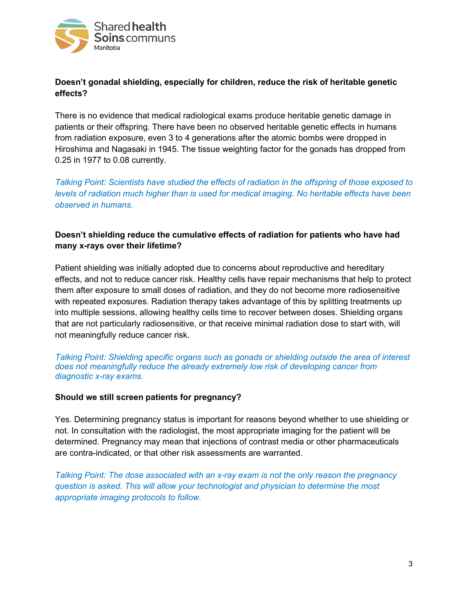

# **Doesn't gonadal shielding, especially for children, reduce the risk of heritable genetic effects?**

There is no evidence that medical radiological exams produce heritable genetic damage in patients or their offspring. There have been no observed heritable genetic effects in humans from radiation exposure, even 3 to 4 generations after the atomic bombs were dropped in Hiroshima and Nagasaki in 1945. The tissue weighting factor for the gonads has dropped from 0.25 in 1977 to 0.08 currently.

*Talking Point: Scientists have studied the effects of radiation in the offspring of those exposed to levels of radiation much higher than is used for medical imaging. No heritable effects have been observed in humans.*

# **Doesn't shielding reduce the cumulative effects of radiation for patients who have had many x-rays over their lifetime?**

Patient shielding was initially adopted due to concerns about reproductive and hereditary effects, and not to reduce cancer risk. Healthy cells have repair mechanisms that help to protect them after exposure to small doses of radiation, and they do not become more radiosensitive with repeated exposures. Radiation therapy takes advantage of this by splitting treatments up into multiple sessions, allowing healthy cells time to recover between doses. Shielding organs that are not particularly radiosensitive, or that receive minimal radiation dose to start with, will not meaningfully reduce cancer risk.

*Talking Point: Shielding specific organs such as gonads or shielding outside the area of interest does not meaningfully reduce the already extremely low risk of developing cancer from diagnostic x-ray exams.*

#### **Should we still screen patients for pregnancy?**

Yes. Determining pregnancy status is important for reasons beyond whether to use shielding or not. In consultation with the radiologist, the most appropriate imaging for the patient will be determined. Pregnancy may mean that injections of contrast media or other pharmaceuticals are contra-indicated, or that other risk assessments are warranted.

*Talking Point: The dose associated with an x-ray exam is not the only reason the pregnancy question is asked. This will allow your technologist and physician to determine the most appropriate imaging protocols to follow.*